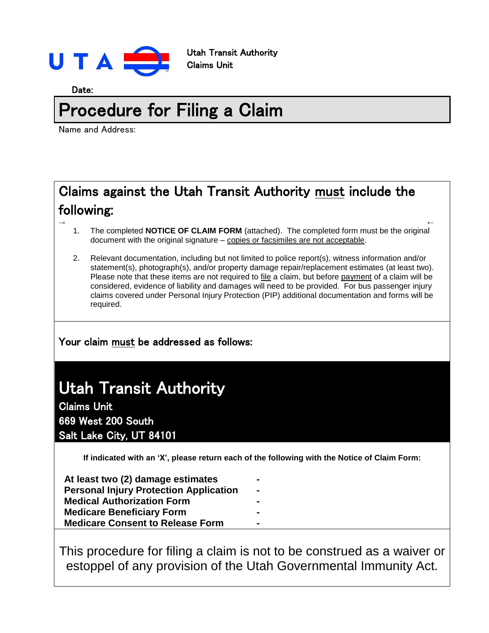

Utah Transit Authority Claims Unit

Date:

# Procedure for Filing a Claim

Name and Address:

## Claims against the Utah Transit Authority must include the following:

- $\leftrightarrow$ 1. The completed **NOTICE OF CLAIM FORM** (attached). The completed form must be the original document with the original signature – copies or facsimiles are not acceptable.
	- 2. Relevant documentation, including but not limited to police report(s), witness information and/or statement(s), photograph(s), and/or property damage repair/replacement estimates (at least two). Please note that these items are not required to file a claim, but before payment of a claim will be considered, evidence of liability and damages will need to be provided. For bus passenger injury claims covered under Personal Injury Protection (PIP) additional documentation and forms will be required.

### Your claim must be addressed as follows:

## Utah Transit Authority

Claims Unit 669 West 200 South Salt Lake City, UT 84101

**If indicated with an 'X', please return each of the following with the Notice of Claim Form:**

**- - - - -**

| At least two (2) damage estimates             |
|-----------------------------------------------|
| <b>Personal Injury Protection Application</b> |
| <b>Medical Authorization Form</b>             |
| <b>Medicare Beneficiary Form</b>              |
| <b>Medicare Consent to Release Form</b>       |

This procedure for filing a claim is not to be construed as a waiver or estoppel of any provision of the Utah Governmental Immunity Act.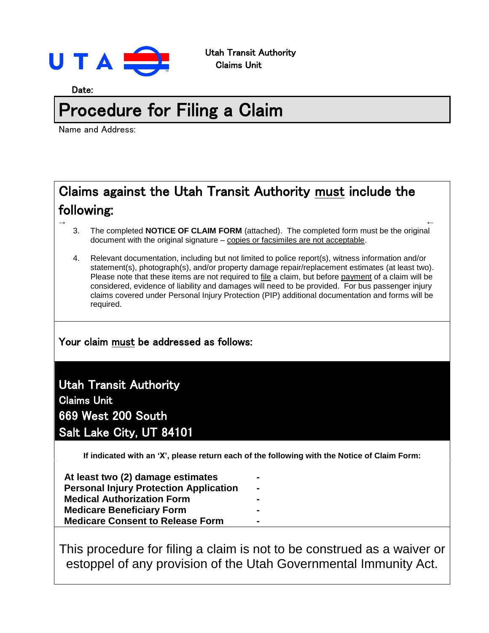

Date:

# Procedure for Filing a Claim

Name and Address:

## Claims against the Utah Transit Authority must include the following:

- $\leftrightarrow$ 3. The completed **NOTICE OF CLAIM FORM** (attached). The completed form must be the original document with the original signature – copies or facsimiles are not acceptable.
	- 4. Relevant documentation, including but not limited to police report(s), witness information and/or statement(s), photograph(s), and/or property damage repair/replacement estimates (at least two). Please note that these items are not required to file a claim, but before payment of a claim will be considered, evidence of liability and damages will need to be provided. For bus passenger injury claims covered under Personal Injury Protection (PIP) additional documentation and forms will be required.

### Your claim must be addressed as follows:

### Utah Transit Authority

Claims Unit 669 West 200 South Salt Lake City, UT 84101

**If indicated with an 'X', please return each of the following with the Notice of Claim Form:**

**- - - - -**

| At least two (2) damage estimates             |
|-----------------------------------------------|
| <b>Personal Injury Protection Application</b> |
| <b>Medical Authorization Form</b>             |
| <b>Medicare Beneficiary Form</b>              |
| <b>Medicare Consent to Release Form</b>       |

This procedure for filing a claim is not to be construed as a waiver or estoppel of any provision of the Utah Governmental Immunity Act.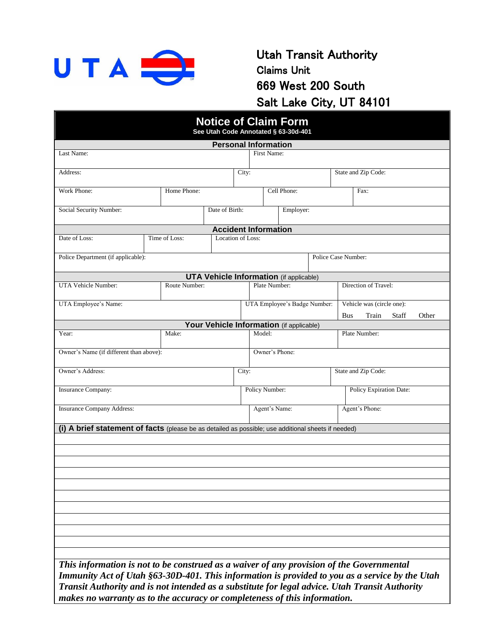

### Utah Transit Authority Claims Unit 669 West 200 South Salt Lake City, UT 84101

|                                                                                                     |                |               | <b>Notice of Claim Form</b><br>See Utah Code Annotated § 63-30d-401 |           |                              |                |             |                              |                           |                                |  |  |  |  |  |
|-----------------------------------------------------------------------------------------------------|----------------|---------------|---------------------------------------------------------------------|-----------|------------------------------|----------------|-------------|------------------------------|---------------------------|--------------------------------|--|--|--|--|--|
|                                                                                                     |                |               | <b>Personal Information</b>                                         |           |                              |                |             |                              |                           |                                |  |  |  |  |  |
| Last Name:                                                                                          |                |               |                                                                     |           |                              | First Name:    |             |                              |                           |                                |  |  |  |  |  |
|                                                                                                     |                |               |                                                                     |           |                              |                |             |                              |                           |                                |  |  |  |  |  |
| Address:                                                                                            |                |               |                                                                     |           |                              |                |             |                              |                           | State and Zip Code:            |  |  |  |  |  |
| Work Phone:                                                                                         |                | Home Phone:   |                                                                     |           |                              |                | Cell Phone: |                              |                           | Fax:                           |  |  |  |  |  |
|                                                                                                     |                |               |                                                                     |           |                              |                |             |                              |                           |                                |  |  |  |  |  |
| Social Security Number:                                                                             | Date of Birth: |               |                                                                     | Employer: |                              |                |             |                              |                           |                                |  |  |  |  |  |
|                                                                                                     |                |               |                                                                     |           |                              |                |             |                              |                           |                                |  |  |  |  |  |
| <b>Accident Information</b><br>Date of Loss:<br>Time of Loss:<br>Location of Loss:                  |                |               |                                                                     |           |                              |                |             |                              |                           |                                |  |  |  |  |  |
|                                                                                                     |                |               |                                                                     |           |                              |                |             |                              |                           |                                |  |  |  |  |  |
| Police Department (if applicable):                                                                  |                |               |                                                                     |           |                              |                |             | Police Case Number:          |                           |                                |  |  |  |  |  |
|                                                                                                     |                |               |                                                                     |           |                              |                |             |                              |                           |                                |  |  |  |  |  |
| UTA Vehicle Number:                                                                                 |                | Route Number: | <b>UTA Vehicle Information</b> (if applicable)                      |           |                              | Plate Number:  |             |                              |                           | Direction of Travel:           |  |  |  |  |  |
|                                                                                                     |                |               |                                                                     |           |                              |                |             |                              |                           |                                |  |  |  |  |  |
| UTA Employee's Name:                                                                                |                |               |                                                                     |           |                              |                |             | UTA Employee's Badge Number: | Vehicle was (circle one): |                                |  |  |  |  |  |
|                                                                                                     |                |               |                                                                     |           |                              |                |             |                              | <b>Bus</b>                | Other<br>Train<br><b>Staff</b> |  |  |  |  |  |
|                                                                                                     |                |               | Your Vehicle Information (if applicable)                            |           |                              |                |             |                              |                           |                                |  |  |  |  |  |
| Year:                                                                                               | Make:          |               |                                                                     |           | Model:                       |                |             |                              | Plate Number:             |                                |  |  |  |  |  |
| Owner's Name (if different than above):                                                             |                |               |                                                                     |           |                              | Owner's Phone: |             |                              |                           |                                |  |  |  |  |  |
|                                                                                                     |                |               |                                                                     |           |                              |                |             |                              |                           |                                |  |  |  |  |  |
| Owner's Address:                                                                                    |                |               |                                                                     |           | State and Zip Code:<br>City: |                |             |                              |                           |                                |  |  |  |  |  |
|                                                                                                     |                |               |                                                                     |           |                              |                |             |                              |                           |                                |  |  |  |  |  |
| <b>Insurance Company:</b>                                                                           |                |               |                                                                     |           | Policy Number:               |                |             |                              |                           | Policy Expiration Date:        |  |  |  |  |  |
| <b>Insurance Company Address:</b>                                                                   |                |               |                                                                     |           |                              | Agent's Name:  |             |                              | Agent's Phone:            |                                |  |  |  |  |  |
|                                                                                                     |                |               |                                                                     |           |                              |                |             |                              |                           |                                |  |  |  |  |  |
| (i) A brief statement of facts (please be as detailed as possible; use additional sheets if needed) |                |               |                                                                     |           |                              |                |             |                              |                           |                                |  |  |  |  |  |
|                                                                                                     |                |               |                                                                     |           |                              |                |             |                              |                           |                                |  |  |  |  |  |
|                                                                                                     |                |               |                                                                     |           |                              |                |             |                              |                           |                                |  |  |  |  |  |
|                                                                                                     |                |               |                                                                     |           |                              |                |             |                              |                           |                                |  |  |  |  |  |
|                                                                                                     |                |               |                                                                     |           |                              |                |             |                              |                           |                                |  |  |  |  |  |
|                                                                                                     |                |               |                                                                     |           |                              |                |             |                              |                           |                                |  |  |  |  |  |
|                                                                                                     |                |               |                                                                     |           |                              |                |             |                              |                           |                                |  |  |  |  |  |
|                                                                                                     |                |               |                                                                     |           |                              |                |             |                              |                           |                                |  |  |  |  |  |
|                                                                                                     |                |               |                                                                     |           |                              |                |             |                              |                           |                                |  |  |  |  |  |
|                                                                                                     |                |               |                                                                     |           |                              |                |             |                              |                           |                                |  |  |  |  |  |
|                                                                                                     |                |               |                                                                     |           |                              |                |             |                              |                           |                                |  |  |  |  |  |
|                                                                                                     |                |               |                                                                     |           |                              |                |             |                              |                           |                                |  |  |  |  |  |
| This information is not to be construed as a waiver of any provision of the Governmental            |                |               |                                                                     |           |                              |                |             |                              |                           |                                |  |  |  |  |  |
| Immunity Act of Utah §63-30D-401. This information is provided to you as a service by the Utah      |                |               |                                                                     |           |                              |                |             |                              |                           |                                |  |  |  |  |  |
| Transit Authority and is not intended as a substitute for legal advice. Utah Transit Authority      |                |               |                                                                     |           |                              |                |             |                              |                           |                                |  |  |  |  |  |
| makes no warranty as to the accuracy or completeness of this information.                           |                |               |                                                                     |           |                              |                |             |                              |                           |                                |  |  |  |  |  |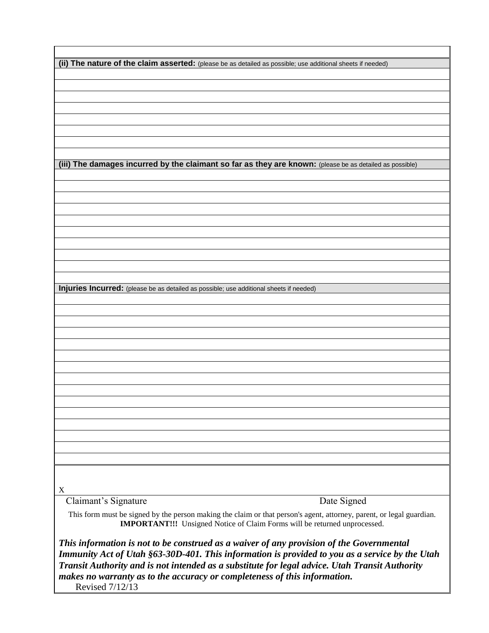| (ii) The nature of the claim asserted: (please be as detailed as possible; use additional sheets if needed)                                                                                                                                                                                                                                                                                  |
|----------------------------------------------------------------------------------------------------------------------------------------------------------------------------------------------------------------------------------------------------------------------------------------------------------------------------------------------------------------------------------------------|
|                                                                                                                                                                                                                                                                                                                                                                                              |
|                                                                                                                                                                                                                                                                                                                                                                                              |
|                                                                                                                                                                                                                                                                                                                                                                                              |
|                                                                                                                                                                                                                                                                                                                                                                                              |
|                                                                                                                                                                                                                                                                                                                                                                                              |
|                                                                                                                                                                                                                                                                                                                                                                                              |
|                                                                                                                                                                                                                                                                                                                                                                                              |
|                                                                                                                                                                                                                                                                                                                                                                                              |
| (iii) The damages incurred by the claimant so far as they are known: (please be as detailed as possible)                                                                                                                                                                                                                                                                                     |
|                                                                                                                                                                                                                                                                                                                                                                                              |
|                                                                                                                                                                                                                                                                                                                                                                                              |
|                                                                                                                                                                                                                                                                                                                                                                                              |
|                                                                                                                                                                                                                                                                                                                                                                                              |
|                                                                                                                                                                                                                                                                                                                                                                                              |
|                                                                                                                                                                                                                                                                                                                                                                                              |
|                                                                                                                                                                                                                                                                                                                                                                                              |
|                                                                                                                                                                                                                                                                                                                                                                                              |
|                                                                                                                                                                                                                                                                                                                                                                                              |
|                                                                                                                                                                                                                                                                                                                                                                                              |
|                                                                                                                                                                                                                                                                                                                                                                                              |
| Injuries Incurred: (please be as detailed as possible; use additional sheets if needed)                                                                                                                                                                                                                                                                                                      |
|                                                                                                                                                                                                                                                                                                                                                                                              |
|                                                                                                                                                                                                                                                                                                                                                                                              |
|                                                                                                                                                                                                                                                                                                                                                                                              |
|                                                                                                                                                                                                                                                                                                                                                                                              |
|                                                                                                                                                                                                                                                                                                                                                                                              |
|                                                                                                                                                                                                                                                                                                                                                                                              |
|                                                                                                                                                                                                                                                                                                                                                                                              |
|                                                                                                                                                                                                                                                                                                                                                                                              |
|                                                                                                                                                                                                                                                                                                                                                                                              |
|                                                                                                                                                                                                                                                                                                                                                                                              |
|                                                                                                                                                                                                                                                                                                                                                                                              |
|                                                                                                                                                                                                                                                                                                                                                                                              |
|                                                                                                                                                                                                                                                                                                                                                                                              |
|                                                                                                                                                                                                                                                                                                                                                                                              |
|                                                                                                                                                                                                                                                                                                                                                                                              |
|                                                                                                                                                                                                                                                                                                                                                                                              |
|                                                                                                                                                                                                                                                                                                                                                                                              |
|                                                                                                                                                                                                                                                                                                                                                                                              |
| X                                                                                                                                                                                                                                                                                                                                                                                            |
| Claimant's Signature<br>Date Signed                                                                                                                                                                                                                                                                                                                                                          |
| This form must be signed by the person making the claim or that person's agent, attorney, parent, or legal guardian.<br><b>IMPORTANT!!!</b> Unsigned Notice of Claim Forms will be returned unprocessed.                                                                                                                                                                                     |
| This information is not to be construed as a waiver of any provision of the Governmental<br>Immunity Act of Utah §63-30D-401. This information is provided to you as a service by the Utah<br>Transit Authority and is not intended as a substitute for legal advice. Utah Transit Authority<br>makes no warranty as to the accuracy or completeness of this information.<br>Revised 7/12/13 |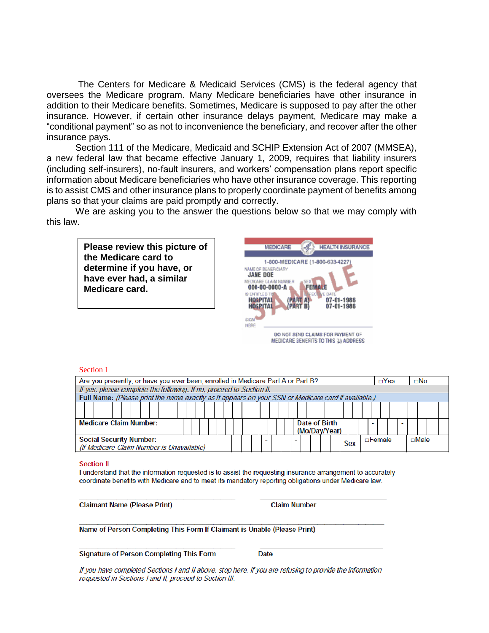The Centers for Medicare & Medicaid Services (CMS) is the federal agency that oversees the Medicare program. Many Medicare beneficiaries have other insurance in addition to their Medicare benefits. Sometimes, Medicare is supposed to pay after the other insurance. However, if certain other insurance delays payment, Medicare may make a "conditional payment" so as not to inconvenience the beneficiary, and recover after the other insurance pays.

Section 111 of the Medicare, Medicaid and SCHIP Extension Act of 2007 (MMSEA), a new federal law that became effective January 1, 2009, requires that liability insurers (including self-insurers), no-fault insurers, and workers' compensation plans report specific information about Medicare beneficiaries who have other insurance coverage. This reporting is to assist CMS and other insurance plans to properly coordinate payment of benefits among plans so that your claims are paid promptly and correctly.

We are asking you to the answer the questions below so that we may comply with this law.

**Please review this picture of the Medicare card to determine if you have, or have ever had, a similar Medicare card.**



#### Section I

| Are you presently, or have you ever been, enrolled in Medicare Part A or Part B?                    |                                |  |  |  |  |  |  |  |  |  | $\Box$ Yes |               |  | $\square$ No |             |  |  |
|-----------------------------------------------------------------------------------------------------|--------------------------------|--|--|--|--|--|--|--|--|--|------------|---------------|--|--------------|-------------|--|--|
| If yes, please complete the following. If no, proceed to Section II.                                |                                |  |  |  |  |  |  |  |  |  |            |               |  |              |             |  |  |
| Full Name: (Please print the name exactly as it appears on your SSN or Medicare card if available.) |                                |  |  |  |  |  |  |  |  |  |            |               |  |              |             |  |  |
|                                                                                                     |                                |  |  |  |  |  |  |  |  |  |            |               |  |              |             |  |  |
| <b>Medicare Claim Number:</b>                                                                       | Date of Birth<br>(Mo/Dav/Year) |  |  |  |  |  |  |  |  |  |            |               |  |              |             |  |  |
| <b>Social Security Number:</b><br>(If Medicare Claim Number is Unavailable)                         |                                |  |  |  |  |  |  |  |  |  | <b>Sex</b> | $\Box$ Female |  |              | $\Box$ Male |  |  |

#### **Section II**

I understand that the information requested is to assist the requesting insurance arrangement to accurately coordinate benefits with Medicare and to meet its mandatory reporting obligations under Medicare law.

**Claimant Name (Please Print)** 

**Claim Number** 

Name of Person Completing This Form If Claimant is Unable (Please Print)

**Signature of Person Completing This Form** 

**Date** 

If you have completed Sections I and II above, stop here. If you are refusing to provide the information requested in Sections I and II, proceed to Section III.